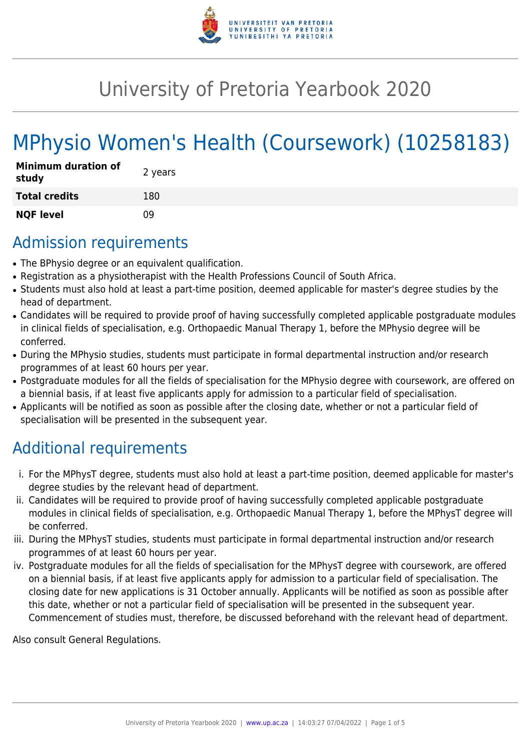

# University of Pretoria Yearbook 2020

# MPhysio Women's Health (Coursework) (10258183)

| <b>Minimum duration of</b><br>study | 2 years |
|-------------------------------------|---------|
| <b>Total credits</b>                | 180     |
| <b>NQF level</b>                    | n۹      |

### Admission requirements

- The BPhysio degree or an equivalent qualification.
- Registration as a physiotherapist with the Health Professions Council of South Africa.
- Students must also hold at least a part-time position, deemed applicable for master's degree studies by the head of department.
- Candidates will be required to provide proof of having successfully completed applicable postgraduate modules in clinical fields of specialisation, e.g. Orthopaedic Manual Therapy 1, before the MPhysio degree will be conferred.
- During the MPhysio studies, students must participate in formal departmental instruction and/or research programmes of at least 60 hours per year.
- Postgraduate modules for all the fields of specialisation for the MPhysio degree with coursework, are offered on a biennial basis, if at least five applicants apply for admission to a particular field of specialisation.
- Applicants will be notified as soon as possible after the closing date, whether or not a particular field of specialisation will be presented in the subsequent year.

# Additional requirements

- i. For the MPhysT degree, students must also hold at least a part-time position, deemed applicable for master's degree studies by the relevant head of department.
- ii. Candidates will be required to provide proof of having successfully completed applicable postgraduate modules in clinical fields of specialisation, e.g. Orthopaedic Manual Therapy 1, before the MPhysT degree will be conferred.
- iii. During the MPhysT studies, students must participate in formal departmental instruction and/or research programmes of at least 60 hours per year.
- iv. Postgraduate modules for all the fields of specialisation for the MPhysT degree with coursework, are offered on a biennial basis, if at least five applicants apply for admission to a particular field of specialisation. The closing date for new applications is 31 October annually. Applicants will be notified as soon as possible after this date, whether or not a particular field of specialisation will be presented in the subsequent year. Commencement of studies must, therefore, be discussed beforehand with the relevant head of department.

Also consult General Regulations.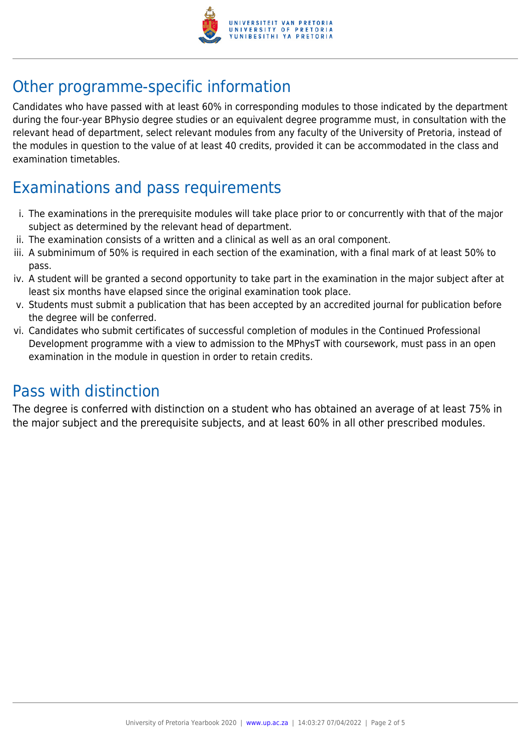

# Other programme-specific information

Candidates who have passed with at least 60% in corresponding modules to those indicated by the department during the four-year BPhysio degree studies or an equivalent degree programme must, in consultation with the relevant head of department, select relevant modules from any faculty of the University of Pretoria, instead of the modules in question to the value of at least 40 credits, provided it can be accommodated in the class and examination timetables.

# Examinations and pass requirements

- i. The examinations in the prerequisite modules will take place prior to or concurrently with that of the major subject as determined by the relevant head of department.
- ii. The examination consists of a written and a clinical as well as an oral component.
- iii. A subminimum of 50% is required in each section of the examination, with a final mark of at least 50% to pass.
- iv. A student will be granted a second opportunity to take part in the examination in the major subject after at least six months have elapsed since the original examination took place.
- v. Students must submit a publication that has been accepted by an accredited journal for publication before the degree will be conferred.
- vi. Candidates who submit certificates of successful completion of modules in the Continued Professional Development programme with a view to admission to the MPhysT with coursework, must pass in an open examination in the module in question in order to retain credits.

### Pass with distinction

The degree is conferred with distinction on a student who has obtained an average of at least 75% in the major subject and the prerequisite subjects, and at least 60% in all other prescribed modules.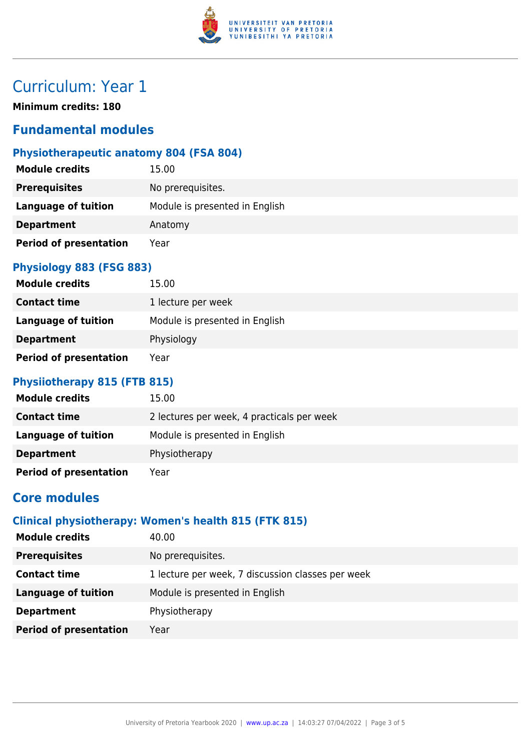

# Curriculum: Year 1

**Minimum credits: 180**

### **Fundamental modules**

### **Physiotherapeutic anatomy 804 (FSA 804)**

| <b>Module credits</b>         | 15.00                          |
|-------------------------------|--------------------------------|
| <b>Prerequisites</b>          | No prerequisites.              |
| Language of tuition           | Module is presented in English |
| <b>Department</b>             | Anatomy                        |
| <b>Period of presentation</b> | Year                           |

#### **Physiology 883 (FSG 883)**

| <b>Module credits</b>         | 15.00                          |
|-------------------------------|--------------------------------|
| <b>Contact time</b>           | 1 lecture per week             |
| Language of tuition           | Module is presented in English |
| <b>Department</b>             | Physiology                     |
| <b>Period of presentation</b> | Year                           |

#### **Physiiotherapy 815 (FTB 815)**

| <b>Module credits</b>         | 15.00                                      |
|-------------------------------|--------------------------------------------|
| <b>Contact time</b>           | 2 lectures per week, 4 practicals per week |
| <b>Language of tuition</b>    | Module is presented in English             |
| <b>Department</b>             | Physiotherapy                              |
| <b>Period of presentation</b> | Year                                       |

### **Core modules**

#### **Clinical physiotherapy: Women's health 815 (FTK 815)**

| <b>Module credits</b>         | 40.00                                             |
|-------------------------------|---------------------------------------------------|
| <b>Prerequisites</b>          | No prerequisites.                                 |
| <b>Contact time</b>           | 1 lecture per week, 7 discussion classes per week |
| <b>Language of tuition</b>    | Module is presented in English                    |
| <b>Department</b>             | Physiotherapy                                     |
| <b>Period of presentation</b> | Year                                              |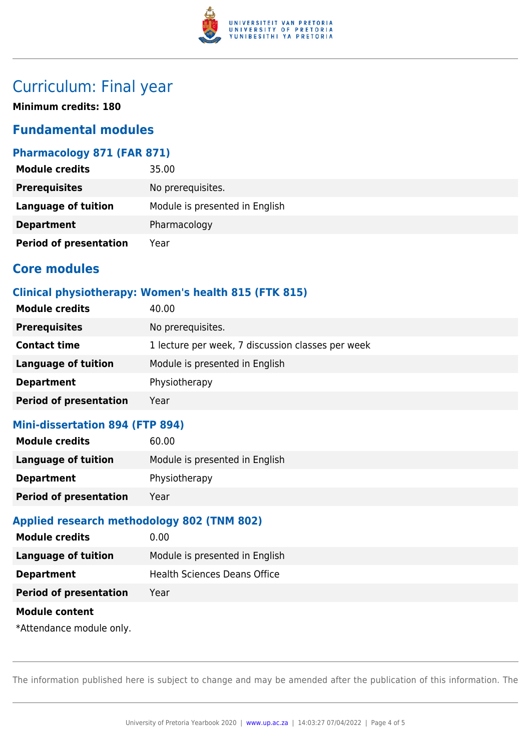

## Curriculum: Final year

**Minimum credits: 180**

### **Fundamental modules**

#### **Pharmacology 871 (FAR 871)**

| <b>Module credits</b>         | 35.00                          |
|-------------------------------|--------------------------------|
| <b>Prerequisites</b>          | No prerequisites.              |
| <b>Language of tuition</b>    | Module is presented in English |
| <b>Department</b>             | Pharmacology                   |
| <b>Period of presentation</b> | Year                           |

### **Core modules**

#### **Clinical physiotherapy: Women's health 815 (FTK 815)**

| <b>Module credits</b><br>40.00        |                                                   |
|---------------------------------------|---------------------------------------------------|
| <b>Prerequisites</b>                  | No prerequisites.                                 |
| <b>Contact time</b>                   | 1 lecture per week, 7 discussion classes per week |
| <b>Language of tuition</b>            | Module is presented in English                    |
| Physiotherapy<br><b>Department</b>    |                                                   |
| <b>Period of presentation</b><br>Year |                                                   |

#### **Mini-dissertation 894 (FTP 894)**

| <b>Module credits</b>         | 60.00                          |
|-------------------------------|--------------------------------|
| Language of tuition           | Module is presented in English |
| <b>Department</b>             | Physiotherapy                  |
| <b>Period of presentation</b> | Year                           |

#### **Applied research methodology 802 (TNM 802)**

| <b>Module credits</b>         | 0.00                                |
|-------------------------------|-------------------------------------|
| <b>Language of tuition</b>    | Module is presented in English      |
| <b>Department</b>             | <b>Health Sciences Deans Office</b> |
| <b>Period of presentation</b> | Year                                |
| <b>Module content</b>         |                                     |
| *Attendance module only.      |                                     |

The information published here is subject to change and may be amended after the publication of this information. The